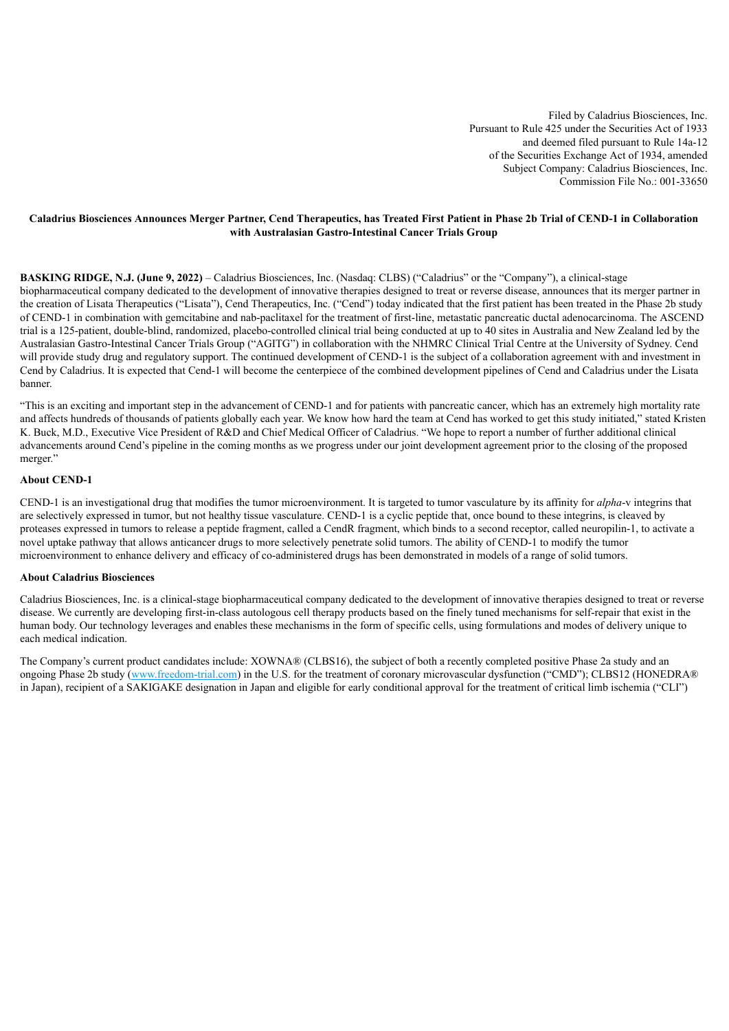Filed by Caladrius Biosciences, Inc. Pursuant to Rule 425 under the Securities Act of 1933 and deemed filed pursuant to Rule 14a-12 of the Securities Exchange Act of 1934, amended Subject Company: Caladrius Biosciences, Inc. Commission File No.: 001-33650

## Caladrius Biosciences Announces Merger Partner, Cend Therapeutics, has Treated First Patient in Phase 2b Trial of CEND-1 in Collaboration **with Australasian Gastro-Intestinal Cancer Trials Group**

**BASKING RIDGE, N.J. (June 9, 2022)** – Caladrius Biosciences, Inc. (Nasdaq: CLBS) ("Caladrius" or the "Company"), a clinical-stage biopharmaceutical company dedicated to the development of innovative therapies designed to treat or reverse disease, announces that its merger partner in the creation of Lisata Therapeutics ("Lisata"), Cend Therapeutics, Inc. ("Cend") today indicated that the first patient has been treated in the Phase 2b study of CEND-1 in combination with gemcitabine and nab-paclitaxel for the treatment of first-line, metastatic pancreatic ductal adenocarcinoma. The ASCEND trial is a 125-patient, double-blind, randomized, placebo-controlled clinical trial being conducted at up to 40 sites in Australia and New Zealand led by the Australasian Gastro-Intestinal Cancer Trials Group ("AGITG") in collaboration with the NHMRC Clinical Trial Centre at the University of Sydney. Cend will provide study drug and regulatory support. The continued development of CEND-1 is the subject of a collaboration agreement with and investment in Cend by Caladrius. It is expected that Cend-1 will become the centerpiece of the combined development pipelines of Cend and Caladrius under the Lisata banner.

"This is an exciting and important step in the advancement of CEND-1 and for patients with pancreatic cancer, which has an extremely high mortality rate and affects hundreds of thousands of patients globally each year. We know how hard the team at Cend has worked to get this study initiated," stated Kristen K. Buck, M.D., Executive Vice President of R&D and Chief Medical Officer of Caladrius. "We hope to report a number of further additional clinical advancements around Cend's pipeline in the coming months as we progress under our joint development agreement prior to the closing of the proposed merger."

#### **About CEND-1**

CEND-1 is an investigational drug that modifies the tumor microenvironment. It is targeted to tumor vasculature by its affinity for *alpha*-v integrins that are selectively expressed in tumor, but not healthy tissue vasculature. CEND-1 is a cyclic peptide that, once bound to these integrins, is cleaved by proteases expressed in tumors to release a peptide fragment, called a CendR fragment, which binds to a second receptor, called neuropilin-1, to activate a novel uptake pathway that allows anticancer drugs to more selectively penetrate solid tumors. The ability of CEND-1 to modify the tumor microenvironment to enhance delivery and efficacy of co-administered drugs has been demonstrated in models of a range of solid tumors.

#### **About Caladrius Biosciences**

Caladrius Biosciences, Inc. is a clinical-stage biopharmaceutical company dedicated to the development of innovative therapies designed to treat or reverse disease. We currently are developing first-in-class autologous cell therapy products based on the finely tuned mechanisms for self-repair that exist in the human body. Our technology leverages and enables these mechanisms in the form of specific cells, using formulations and modes of delivery unique to each medical indication.

The Company's current product candidates include: XOWNA® (CLBS16), the subject of both a recently completed positive Phase 2a study and an ongoing Phase 2b study (www.freedom-trial.com) in the U.S. for the treatment of coronary microvascular dysfunction ("CMD"); CLBS12 (HONEDRA® in Japan), recipient of a SAKIGAKE designation in Japan and eligible for early conditional approval for the treatment of critical limb ischemia ("CLI")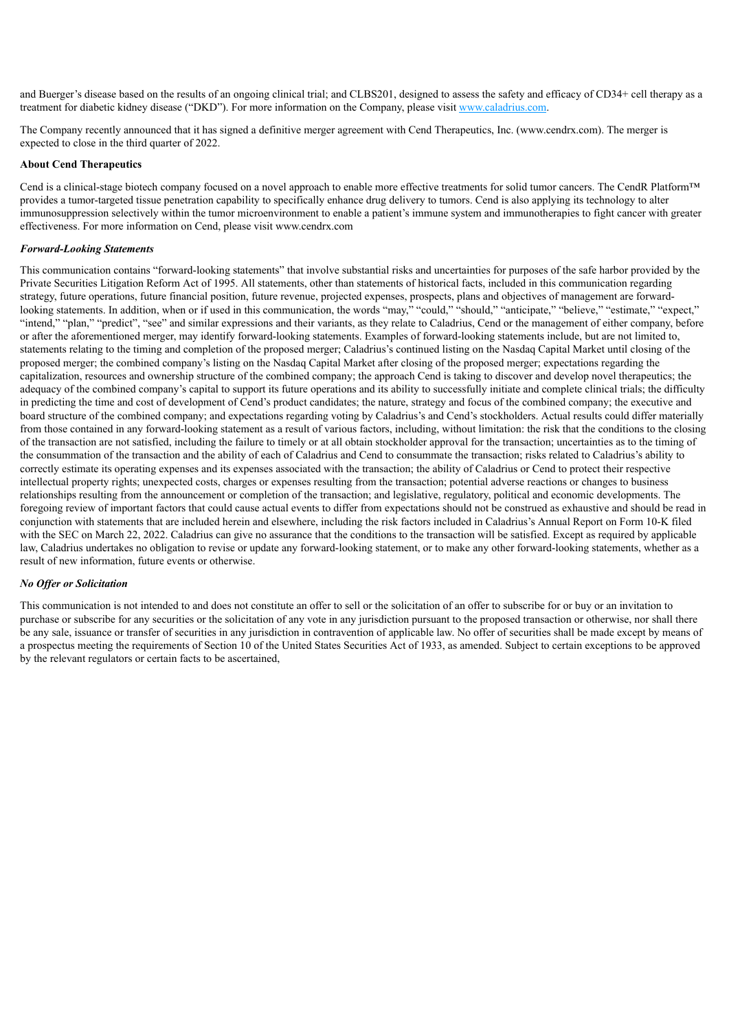and Buerger's disease based on the results of an ongoing clinical trial; and CLBS201, designed to assess the safety and efficacy of CD34+ cell therapy as a treatment for diabetic kidney disease ("DKD"). For more information on the Company, please visit www.caladrius.com.

The Company recently announced that it has signed a definitive merger agreement with Cend Therapeutics, Inc. (www.cendrx.com). The merger is expected to close in the third quarter of 2022.

# **About Cend Therapeutics**

Cend is a clinical-stage biotech company focused on a novel approach to enable more effective treatments for solid tumor cancers. The CendR Platform™ provides a tumor-targeted tissue penetration capability to specifically enhance drug delivery to tumors. Cend is also applying its technology to alter immunosuppression selectively within the tumor microenvironment to enable a patient's immune system and immunotherapies to fight cancer with greater effectiveness. For more information on Cend, please visit www.cendrx.com

## *Forward-Looking Statements*

This communication contains "forward-looking statements" that involve substantial risks and uncertainties for purposes of the safe harbor provided by the Private Securities Litigation Reform Act of 1995. All statements, other than statements of historical facts, included in this communication regarding strategy, future operations, future financial position, future revenue, projected expenses, prospects, plans and objectives of management are forwardlooking statements. In addition, when or if used in this communication, the words "may," "could," "should," "anticipate," "believe," "estimate," "expect," "intend," "plan," "predict", "see" and similar expressions and their variants, as they relate to Caladrius, Cend or the management of either company, before or after the aforementioned merger, may identify forward-looking statements. Examples of forward-looking statements include, but are not limited to, statements relating to the timing and completion of the proposed merger; Caladrius's continued listing on the Nasdaq Capital Market until closing of the proposed merger; the combined company's listing on the Nasdaq Capital Market after closing of the proposed merger; expectations regarding the capitalization, resources and ownership structure of the combined company; the approach Cend is taking to discover and develop novel therapeutics; the adequacy of the combined company's capital to support its future operations and its ability to successfully initiate and complete clinical trials; the difficulty in predicting the time and cost of development of Cend's product candidates; the nature, strategy and focus of the combined company; the executive and board structure of the combined company; and expectations regarding voting by Caladrius's and Cend's stockholders. Actual results could differ materially from those contained in any forward-looking statement as a result of various factors, including, without limitation: the risk that the conditions to the closing of the transaction are not satisfied, including the failure to timely or at all obtain stockholder approval for the transaction; uncertainties as to the timing of the consummation of the transaction and the ability of each of Caladrius and Cend to consummate the transaction; risks related to Caladrius's ability to correctly estimate its operating expenses and its expenses associated with the transaction; the ability of Caladrius or Cend to protect their respective intellectual property rights; unexpected costs, charges or expenses resulting from the transaction; potential adverse reactions or changes to business relationships resulting from the announcement or completion of the transaction; and legislative, regulatory, political and economic developments. The foregoing review of important factors that could cause actual events to differ from expectations should not be construed as exhaustive and should be read in conjunction with statements that are included herein and elsewhere, including the risk factors included in Caladrius's Annual Report on Form 10-K filed with the SEC on March 22, 2022. Caladrius can give no assurance that the conditions to the transaction will be satisfied. Except as required by applicable law, Caladrius undertakes no obligation to revise or update any forward-looking statement, or to make any other forward-looking statements, whether as a result of new information, future events or otherwise.

#### *No Of er or Solicitation*

This communication is not intended to and does not constitute an offer to sell or the solicitation of an offer to subscribe for or buy or an invitation to purchase or subscribe for any securities or the solicitation of any vote in any jurisdiction pursuant to the proposed transaction or otherwise, nor shall there be any sale, issuance or transfer of securities in any jurisdiction in contravention of applicable law. No offer of securities shall be made except by means of a prospectus meeting the requirements of Section 10 of the United States Securities Act of 1933, as amended. Subject to certain exceptions to be approved by the relevant regulators or certain facts to be ascertained,